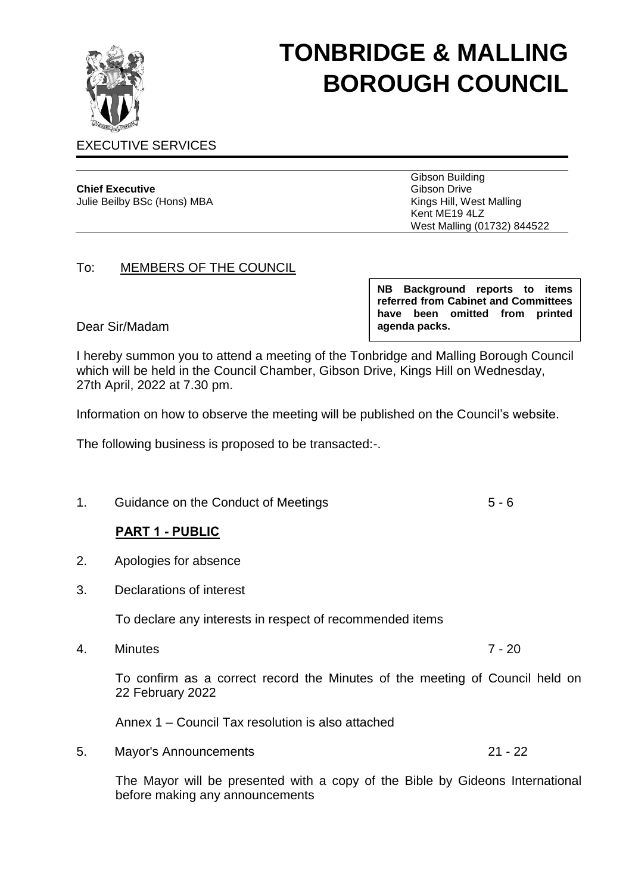

# **TONBRIDGE & MALLING BOROUGH COUNCIL**

### EXECUTIVE SERVICES

# **Chief Executive**

Julie Beilby BSc (Hons) MBA

Gibson Building Gibson Drive Kings Hill, West Malling Kent ME19 4LZ West Malling (01732) 844522

#### To: MEMBERS OF THE COUNCIL

Dear Sir/Madam

**NB Background reports to items referred from Cabinet and Committees have been omitted from printed agenda packs.**

I hereby summon you to attend a meeting of the Tonbridge and Malling Borough Council which will be held in the Council Chamber, Gibson Drive, Kings Hill on Wednesday, 27th April, 2022 at 7.30 pm.

Information on how to observe the meeting will be published on the Council's website.

The following business is proposed to be transacted:-.

1. Guidance on the Conduct of Meetings 6 - 6

# **PART 1 - PUBLIC**

- 2. Apologies for absence
- 3. Declarations of interest

To declare any interests in respect of recommended items

4. Minutes 7 - 20

To confirm as a correct record the Minutes of the meeting of Council held on 22 February 2022

Annex 1 – Council Tax resolution is also attached

5. Mayor's Announcements 21 - 22

The Mayor will be presented with a copy of the Bible by Gideons International before making any announcements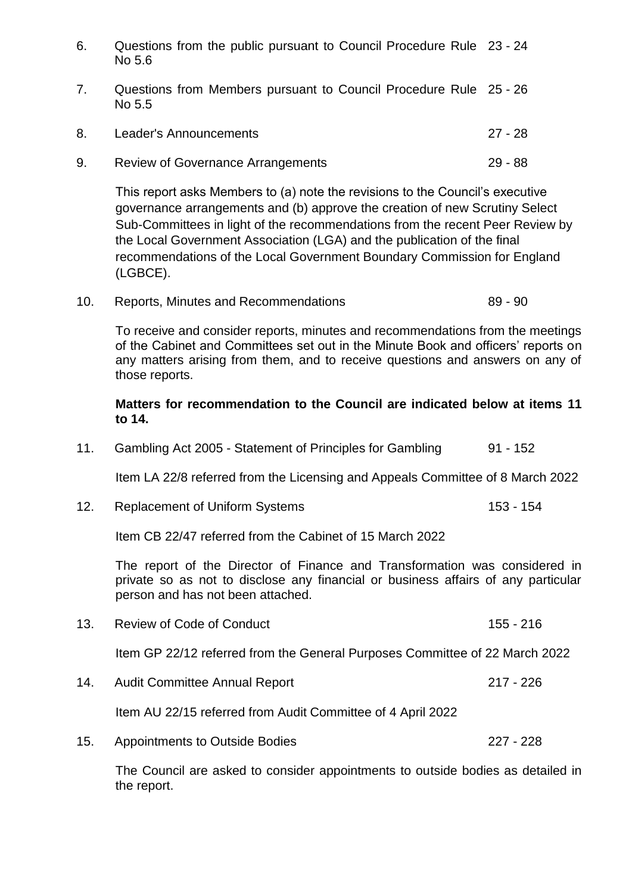- 6. Questions from the public pursuant to Council Procedure Rule 23 24 No 5.6
- 7. Questions from Members pursuant to Council Procedure Rule 25 26 No 5.5
- 8. Leader's Announcements 27 28 9. Review of Governance Arrangements 29 - 88

This report asks Members to (a) note the revisions to the Council's executive governance arrangements and (b) approve the creation of new Scrutiny Select Sub-Committees in light of the recommendations from the recent Peer Review by the Local Government Association (LGA) and the publication of the final recommendations of the Local Government Boundary Commission for England (LGBCE).

10. Reports, Minutes and Recommendations 69 - 89 - 90

To receive and consider reports, minutes and recommendations from the meetings of the Cabinet and Committees set out in the Minute Book and officers' reports on any matters arising from them, and to receive questions and answers on any of those reports.

#### **Matters for recommendation to the Council are indicated below at items 11 to 14.**

11. Gambling Act 2005 - Statement of Principles for Gambling 91 - 152

Item LA 22/8 referred from the Licensing and Appeals Committee of 8 March 2022

12. Replacement of Uniform Systems 153 - 154

Item CB 22/47 referred from the Cabinet of 15 March 2022

The report of the Director of Finance and Transformation was considered in private so as not to disclose any financial or business affairs of any particular person and has not been attached.

13. Review of Code of Conduct 155 - 216

Item GP 22/12 referred from the General Purposes Committee of 22 March 2022

14. Audit Committee Annual Report 217 - 226

Item AU 22/15 referred from Audit Committee of 4 April 2022

15. Appointments to Outside Bodies 227 - 228

The Council are asked to consider appointments to outside bodies as detailed in the report.